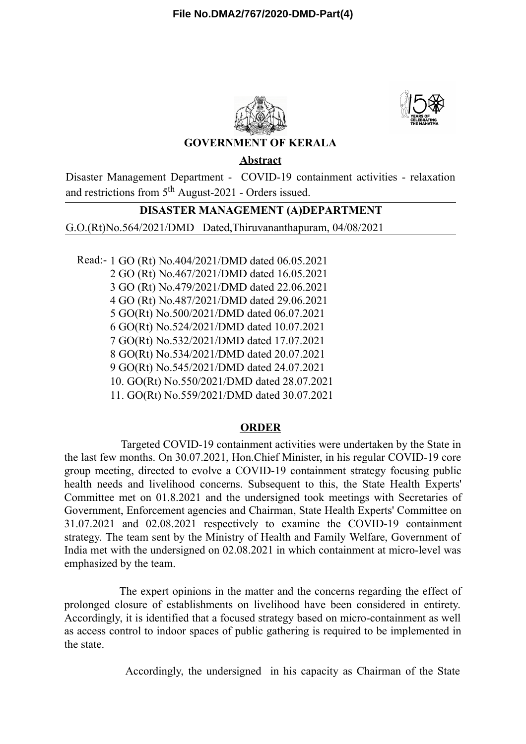



# **GOVERNMENT OF KERALA**

**Abstract**

Disaster Management Department - COVID-19 containment activities - relaxation and restrictions from 5<sup>th</sup> August-2021 - Orders issued.

# **DISASTER MANAGEMENT (A)DEPARTMENT**

G.O.(Rt)No.564/2021/DMD Dated,Thiruvananthapuram, 04/08/2021

Read:- 1 GO (Rt) No.404/2021/DMD dated 06.05.2021 GO (Rt) No.467/2021/DMD dated 16.05.2021 GO (Rt) No.479/2021/DMD dated 22.06.2021 GO (Rt) No.487/2021/DMD dated 29.06.2021 GO(Rt) No.500/2021/DMD dated 06.07.2021 GO(Rt) No.524/2021/DMD dated 10.07.2021 GO(Rt) No.532/2021/DMD dated 17.07.2021 GO(Rt) No.534/2021/DMD dated 20.07.2021 GO(Rt) No.545/2021/DMD dated 24.07.2021 10. GO(Rt) No.550/2021/DMD dated 28.07.2021 11. GO(Rt) No.559/2021/DMD dated 30.07.2021

#### **ORDER**

Targeted COVID-19 containment activities were undertaken by the State in the last few months. On 30.07.2021, Hon.Chief Minister, in his regular COVID-19 core group meeting, directed to evolve a COVID-19 containment strategy focusing public health needs and livelihood concerns. Subsequent to this, the State Health Experts' Committee met on 01.8.2021 and the undersigned took meetings with Secretaries of Government, Enforcement agencies and Chairman, State Health Experts' Committee on 31.07.2021 and 02.08.2021 respectively to examine the COVID-19 containment strategy. The team sent by the Ministry of Health and Family Welfare, Government of India met with the undersigned on 02.08.2021 in which containment at micro-level was emphasized by the team.

The expert opinions in the matter and the concerns regarding the effect of prolonged closure of establishments on livelihood have been considered in entirety. Accordingly, it is identified that a focused strategy based on micro-containment as well as access control to indoor spaces of public gathering is required to be implemented in the state.

Accordingly, the undersigned in his capacity as Chairman of the State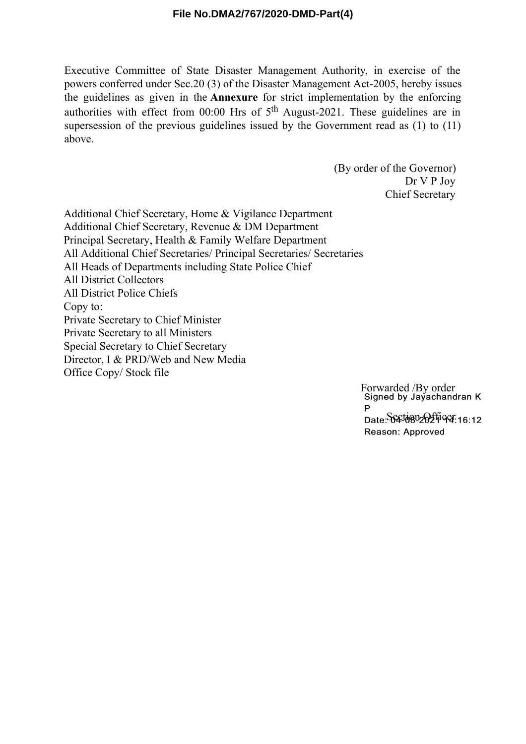### **File No.DMA2/767/2020-DMD-Part(4)**

Executive Committee of State Disaster Management Authority, in exercise of the powers conferred under Sec.20 (3) of the Disaster Management Act-2005, hereby issues the guidelines as given in the **Annexure** for strict implementation by the enforcing authorities with effect from 00:00 Hrs of  $5<sup>th</sup>$  August-2021. These guidelines are in supersession of the previous guidelines issued by the Government read as (1) to (11) above.

> (By order of the Governor) Dr V P Joy Chief Secretary

Additional Chief Secretary, Home & Vigilance Department Additional Chief Secretary, Revenue & DM Department Principal Secretary, Health & Family Welfare Department All Additional Chief Secretaries/ Principal Secretaries/ Secretaries All Heads of Departments including State Police Chief All District Collectors All District Police Chiefs Copy to: Private Secretary to Chief Minister Private Secretary to all Ministers Special Secretary to Chief Secretary Director, I & PRD/Web and New Media Office Copy/ Stock file

> Forwarded /By order<br>Signed by Jayachandran K P Date: Section Officer 16:12 Reason: Approved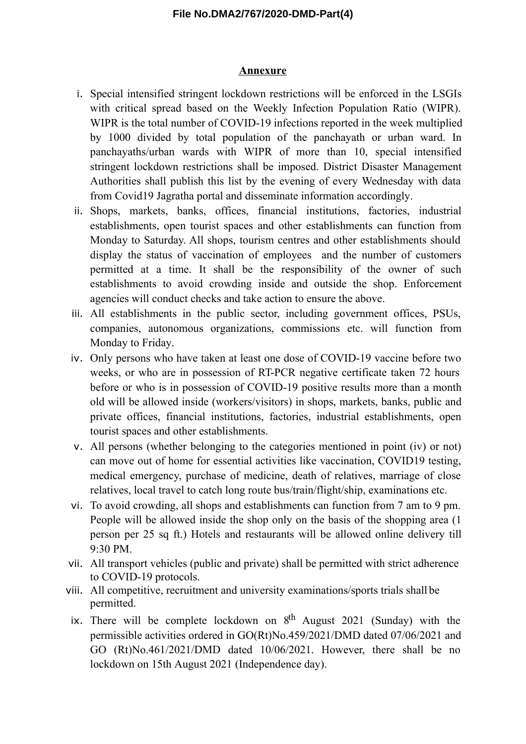## **File No.DMA2/767/2020-DMD-Part(4)**

#### **Annexure**

- i. Special intensified stringent lockdown restrictions will be enforced in the LSGIs with critical spread based on the Weekly Infection Population Ratio (WIPR). WIPR is the total number of COVID-19 infections reported in the week multiplied by 1000 divided by total population of the panchayath or urban ward. In panchayaths/urban wards with WIPR of more than 10, special intensified stringent lockdown restrictions shall be imposed. District Disaster Management Authorities shall publish this list by the evening of every Wednesday with data from Covid19 Jagratha portal and disseminate information accordingly.
- ii. Shops, markets, banks, offices, financial institutions, factories, industrial establishments, open tourist spaces and other establishments can function from Monday to Saturday. All shops, tourism centres and other establishments should display the status of vaccination of employees and the number of customers permitted at a time. It shall be the responsibility of the owner of such establishments to avoid crowding inside and outside the shop. Enforcement agencies will conduct checks and take action to ensure the above.
- iii. All establishments in the public sector, including government offices, PSUs, companies, autonomous organizations, commissions etc. will function from Monday to Friday.
- iv. Only persons who have taken at least one dose of COVID-19 vaccine before two weeks, or who are in possession of RT-PCR negative certificate taken 72 hours before or who is in possession of COVID-19 positive results more than a month old will be allowed inside (workers/visitors) in shops, markets, banks, public and private offices, financial institutions, factories, industrial establishments, open tourist spaces and other establishments.
- v. All persons (whether belonging to the categories mentioned in point (iv) or not) can move out of home for essential activities like vaccination, COVID19 testing, medical emergency, purchase of medicine, death of relatives, marriage of close relatives, local travel to catch long route bus/train/flight/ship, examinations etc.
- vi. To avoid crowding, all shops and establishments can function from 7 am to 9 pm. People will be allowed inside the shop only on the basis of the shopping area (1 person per 25 sq ft.) Hotels and restaurants will be allowed online delivery till 9:30 PM.
- vii. All transport vehicles (public and private) shall be permitted with strict adherence to COVID-19 protocols.
- viii. All competitive, recruitment and university examinations/sports trials shall be permitted.
- ix. There will be complete lockdown on  $8<sup>th</sup>$  August 2021 (Sunday) with the permissible activities ordered in GO(Rt)No.459/2021/DMD dated 07/06/2021 and GO (Rt)No.461/2021/DMD dated 10/06/2021. However, there shall be no lockdown on 15th August 2021 (Independence day).